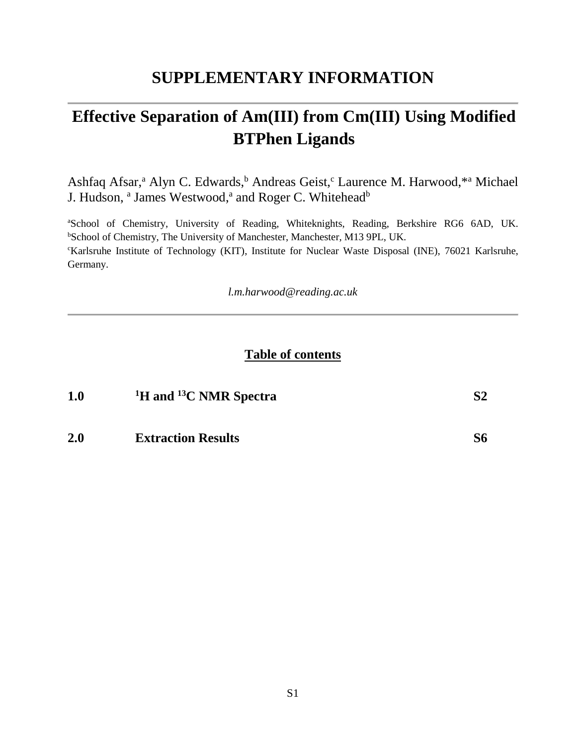### **SUPPLEMENTARY INFORMATION**

# **Effective Separation of Am(III) from Cm(III) Using Modified BTPhen Ligands**

Ashfaq Afsar,<sup>a</sup> Alyn C. Edwards,<sup>b</sup> Andreas Geist,<sup>c</sup> Laurence M. Harwood,<sup>\*a</sup> Michael J. Hudson, <sup>a</sup> James Westwood,<sup>a</sup> and Roger C. Whitehead<sup>b</sup>

<sup>a</sup>School of Chemistry, University of Reading, Whiteknights, Reading, Berkshire RG6 6AD, UK. <sup>b</sup>School of Chemistry, The University of Manchester, Manchester, M13 9PL, UK. <sup>c</sup>Karlsruhe Institute of Technology (KIT), Institute for Nuclear Waste Disposal (INE), 76021 Karlsruhe, Germany.

*l.m.harwood@reading.ac.uk*

#### **Table of contents**

| 1.0 | <sup>1</sup> H and <sup>13</sup> C NMR Spectra | S2 |
|-----|------------------------------------------------|----|
| 2.0 | <b>Extraction Results</b>                      | S6 |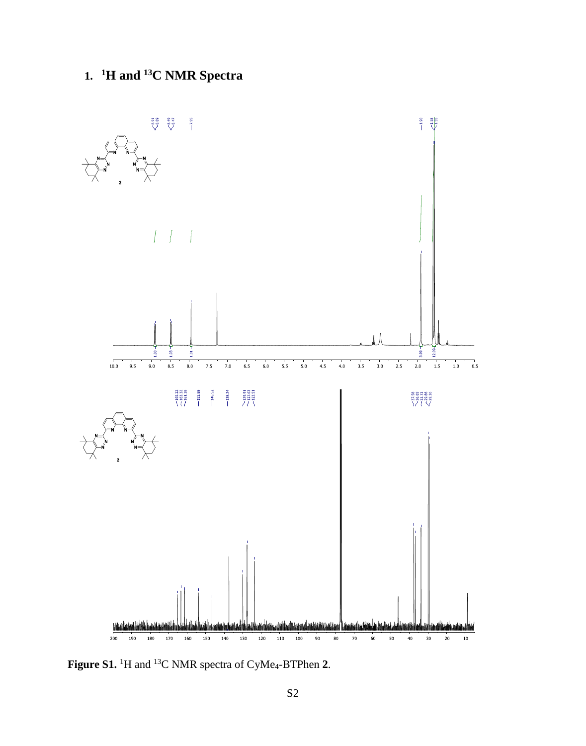## **1. <sup>1</sup>H and <sup>13</sup>C NMR Spectra**



**Figure S1.** <sup>1</sup>H and <sup>13</sup>C NMR spectra of CyMe4-BTPhen **2**.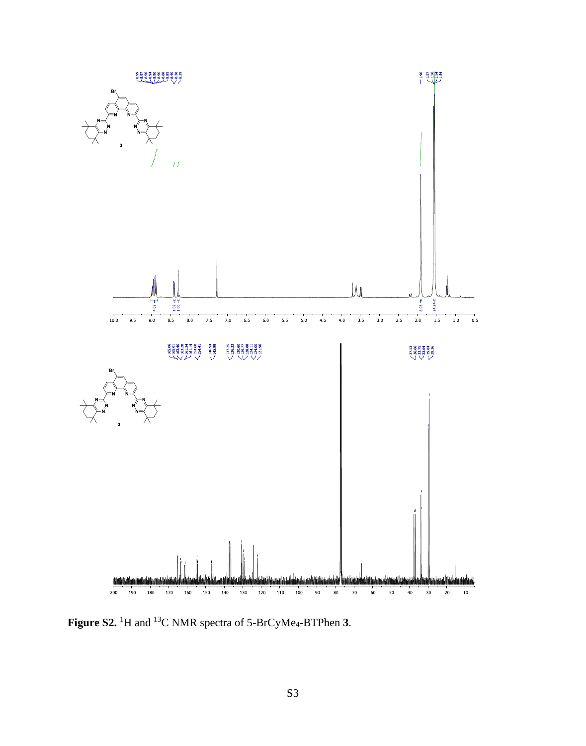

**Figure S2.** <sup>1</sup>H and <sup>13</sup>C NMR spectra of 5-BrCyMe4-BTPhen **3**.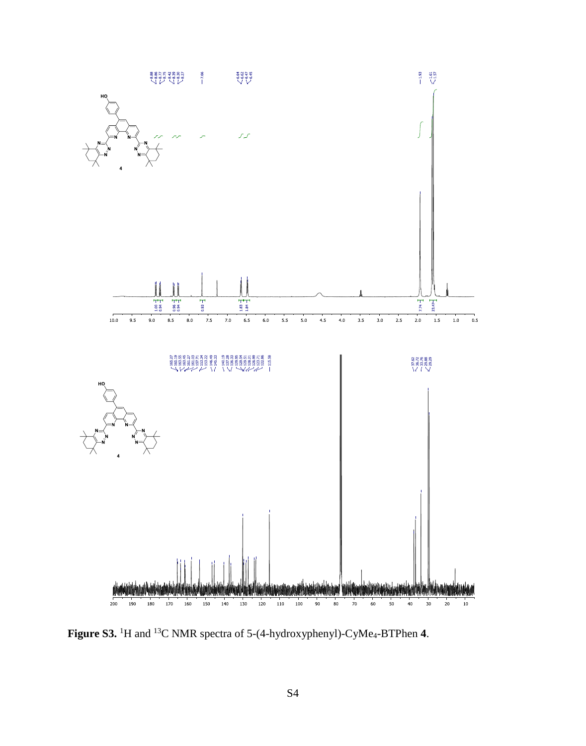

**Figure S3.** <sup>1</sup>H and <sup>13</sup>C NMR spectra of 5-(4-hydroxyphenyl)-CyMe4-BTPhen **4**.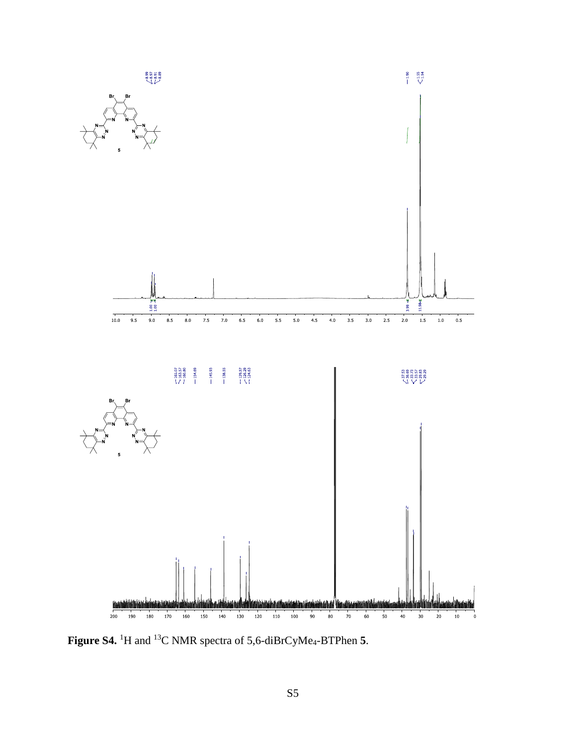

**Figure S4.** <sup>1</sup>H and <sup>13</sup>C NMR spectra of 5,6-diBrCyMe4-BTPhen **5**.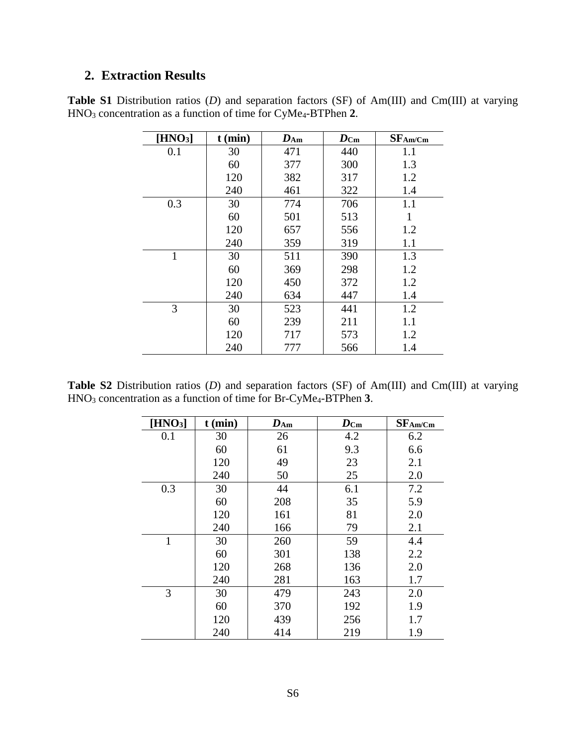### **2. Extraction Results**

|  | <b>Table S1</b> Distribution ratios (D) and separation factors (SF) of $Am(III)$ and $Cm(III)$ at varying |  |  |  |  |  |
|--|-----------------------------------------------------------------------------------------------------------|--|--|--|--|--|
|  | $HNO3$ concentration as a function of time for $CyMe4-BTPhen 2$ .                                         |  |  |  |  |  |

| [HNO <sub>3</sub> ] | $t$ (min) | $D_{Am}$ | $\boldsymbol{D}_{\mathbf{C}\mathbf{m}}$ | $SF_{Am/Cm}$ |
|---------------------|-----------|----------|-----------------------------------------|--------------|
| 0.1                 | 30        | 471      | 440                                     | 1.1          |
|                     | 60        | 377      | 300                                     | 1.3          |
|                     | 120       | 382      | 317                                     | 1.2          |
|                     | 240       | 461      | 322                                     | 1.4          |
| 0.3                 | 30        | 774      | 706                                     | 1.1          |
|                     | 60        | 501      | 513                                     | 1            |
|                     | 120       | 657      | 556                                     | 1.2          |
|                     | 240       | 359      | 319                                     | 1.1          |
| $\mathbf 1$         | 30        | 511      | 390                                     | 1.3          |
|                     | 60        | 369      | 298                                     | 1.2          |
|                     | 120       | 450      | 372                                     | 1.2          |
|                     | 240       | 634      | 447                                     | 1.4          |
| 3                   | 30        | 523      | 441                                     | 1.2          |
|                     | 60        | 239      | 211                                     | 1.1          |
|                     | 120       | 717      | 573                                     | 1.2          |
|                     | 240       | 777      | 566                                     | 1.4          |

**Table S2** Distribution ratios (*D*) and separation factors (SF) of Am(III) and Cm(III) at varying HNO<sup>3</sup> concentration as a function of time for Br-CyMe4-BTPhen **3**.

| [HNO <sub>3</sub> ] | $t$ (min) | $\mathbf{D}_{\mathbf{A}\mathbf{m}}$ | $\boldsymbol{D}$ Cm | SFAm/Cm |
|---------------------|-----------|-------------------------------------|---------------------|---------|
| 0.1                 | 30        | 26                                  | 4.2                 | 6.2     |
|                     | 60        | 61                                  | 9.3                 | 6.6     |
|                     | 120       | 49                                  | 23                  | 2.1     |
|                     | 240       | 50                                  | 25                  | 2.0     |
| 0.3                 | 30        | 44                                  | 6.1                 | 7.2     |
|                     | 60        | 208                                 | 35                  | 5.9     |
|                     | 120       | 161                                 | 81                  | 2.0     |
|                     | 240       | 166                                 | 79                  | 2.1     |
| $\mathbf{1}$        | 30        | 260                                 | 59                  | 4.4     |
|                     | 60        | 301                                 | 138                 | 2.2     |
|                     | 120       | 268                                 | 136                 | 2.0     |
|                     | 240       | 281                                 | 163                 | 1.7     |
| 3                   | 30        | 479                                 | 243                 | 2.0     |
|                     | 60        | 370                                 | 192                 | 1.9     |
|                     | 120       | 439                                 | 256                 | 1.7     |
|                     | 240       | 414                                 | 219                 | 1.9     |